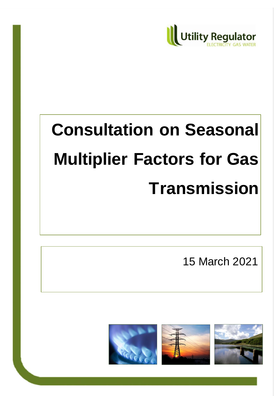

# **Consultation on Seasonal Multiplier Factors for Gas Transmission**

15 March 2021

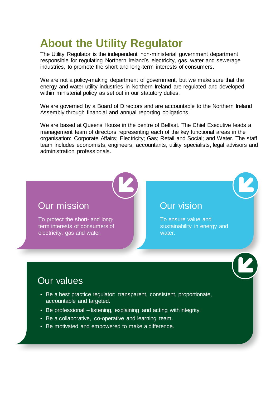# **About the Utility Regulator**

The Utility Regulator is the independent non-ministerial government department responsible for regulating Northern Ireland's electricity, gas, water and sewerage industries, to promote the short and long-term interests of consumers.

We are not a policy-making department of government, but we make sure that the energy and water utility industries in Northern Ireland are regulated and developed within ministerial policy as set out in our statutory duties.

We are governed by a Board of Directors and are accountable to the Northern Ireland Assembly through financial and annual reporting obligations.

We are based at Queens House in the centre of Belfast. The Chief Executive leads a management team of directors representing each of the key functional areas in the organisation: Corporate Affairs; Electricity; Gas; Retail and Social; and Water. The staff team includes economists, engineers, accountants, utility specialists, legal advisors and administration professionals.

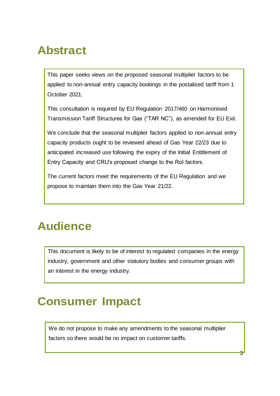# **Abstract**

This paper seeks views on the proposed seasonal multiplier factors to be applied to non-annual entry capacity bookings in the postalised tariff from 1 October 2021.

This consultation is required by EU Regulation 2017/460 on Harmonised Transmission Tariff Structures for Gas ("TAR NC"), as amended for EU Exit.

We conclude that the seasonal multiplier factors applied to non-annual entry capacity products ought to be reviewed ahead of Gas Year 22/23 due to anticipated increased use following the expiry of the Initial Entitlement of Entry Capacity and CRU's proposed change to the RoI factors.

The current factors meet the requirements of the EU Regulation and we propose to maintain them into the Gas Year 21/22.

# **Audience**

This document is likely to be of interest to regulated companies in the energy industry, government and other statutory bodies and consumer groups with an interest in the energy industry.

# **This documer Impact** is a consumer impact  $\sum_{i=1}^{n} a_i$

We do not propose to make any amendments to the seasonal multiplier factors so there would be no impact on customer tariffs.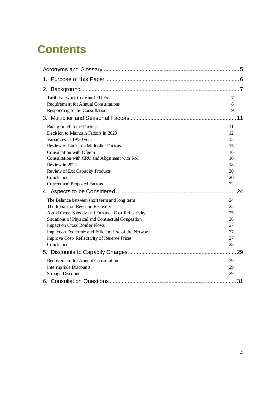# **Contents**

| 1.                                                  |    |
|-----------------------------------------------------|----|
|                                                     |    |
| Tariff Network Code and EU Exit                     | 7  |
| Requirement for Annual Consultations                | 8  |
| Responding to the Consultation                      | 9  |
|                                                     | 11 |
| Background to the Factors                           | 11 |
| Decision to Maintain Factors in 2020                | 12 |
| Variances in 19/20 year                             | 13 |
| Review of Limits on Multiplier Factors              | 15 |
| Consultation with Ofgem                             | 16 |
| Consultation with CRU and Alignment with RoI        | 16 |
| Review in 2022                                      | 18 |
| Review of Exit Capacity Products                    | 20 |
| Conclusion                                          | 20 |
| Current and Proposed Factors                        | 22 |
|                                                     | 24 |
| The Balance between short term and long term        | 24 |
| The Impact on Revenue Recovery                      | 25 |
| Avoid Cross Subsidy and Enhance Cost Reflectivity   | 25 |
| Situations of Physical and Contractual Congestion   | 26 |
| Impact on Cross Border Flows                        | 27 |
| Impact on Economic and Efficient Use of the Network | 27 |
| Improve Cost-Reflectivity of Reserve Prices         | 27 |
| Conclusion                                          | 28 |
|                                                     | 29 |
| Requirement for Annual Consultation                 | 29 |
| Interruptible Discounts                             | 29 |
| <b>Storage Discount</b>                             | 29 |
|                                                     | 31 |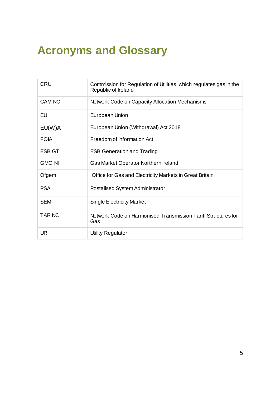# <span id="page-4-0"></span>**Acronyms and Glossary**

| CRU           | Commission for Regulation of Utilities, which regulates gas in the<br>Republic of Ireland |
|---------------|-------------------------------------------------------------------------------------------|
| <b>CAM NC</b> | Network Code on Capacity Allocation Mechanisms                                            |
| EU            | European Union                                                                            |
| EU(W)A        | European Union (Withdrawal) Act 2018                                                      |
| <b>FOIA</b>   | Freedom of Information Act                                                                |
| <b>ESB GT</b> | <b>ESB Generation and Trading</b>                                                         |
| <b>GMO NI</b> | Gas Market Operator Northern Ireland                                                      |
| Ofgem         | Office for Gas and Electricity Markets in Great Britain                                   |
| <b>PSA</b>    | <b>Postalised System Administrator</b>                                                    |
| <b>SEM</b>    | <b>Single Electricity Market</b>                                                          |
| TAR NC        | Network Code on Harmonised Transmission Tariff Structures for<br>Gas                      |
| <b>UR</b>     | <b>Utility Regulator</b>                                                                  |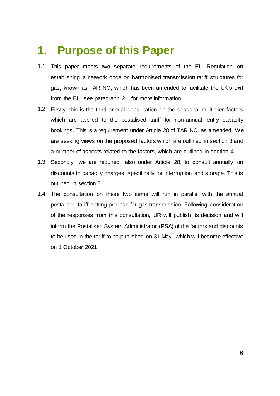# <span id="page-5-0"></span>**1. Purpose of this Paper**

- 1.1. This paper meets two separate requirements of the EU Regulation on establishing a network code on harmonised transmission tariff structures for gas, known as TAR NC, which has been amended to facilitate the UK's exit from the EU, see paragraph [2.1](#page-6-2) for more information.
- 1.2. Firstly, this is the third annual consultation on the seasonal multiplier factors which are applied to the postalised tariff for non-annual entry capacity bookings. This is a requirement under Article 28 of TAR NC, as amended. We are seeking views on the proposed factors which are outlined in section [3](#page-10-0) and a number of aspects related to the factors, which are outlined in section [4.](#page-23-0)
- 1.3. Secondly, we are required, also under Article 28, to consult annually on discounts to capacity charges, specifically for interruption and storage. This is outlined in section [5.](#page-28-0)
- 1.4. The consultation on these two items will run in parallel with the annual postalised tariff setting process for gas transmission. Following consideration of the responses from this consultation, UR will publish its decision and will inform the Postalised System Administrator (PSA) of the factors and discounts to be used in the tariff to be published on 31 May, which will become effective on 1 October 2021.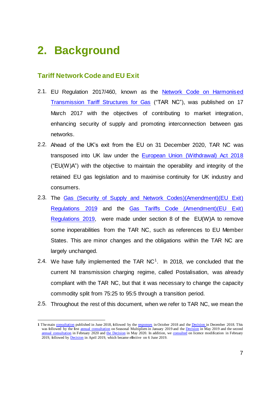# <span id="page-6-0"></span>**2. Background**

1

# <span id="page-6-1"></span>**Tariff Network Code and EU Exit**

- <span id="page-6-2"></span>2.1. [EU Regulation 2017/460,](https://eur-lex.europa.eu/legal-content/EN/TXT/PDF/?uri=CELEX:32017R0460&from=EN) known as the Network Code on Harmonised [Transmission Tariff Structures for Gas](https://eur-lex.europa.eu/legal-content/EN/TXT/PDF/?uri=CELEX:32017R0460&from=EN) ("TAR NC"), was published on 17 March 2017 with the objectives of contributing to market integration, enhancing security of supply and promoting interconnection between gas networks.
- 2.2. Ahead of the UK's exit from the EU on 31 December 2020, TAR NC was transposed into UK law under the [European Union \(Withdrawal\) Act 2018](https://www.legislation.gov.uk/ukpga/2018/16/contents/enacted) ("EU(W)A") with the objective to maintain the operability and integrity of the retained EU gas legislation and to maximise continuity for UK industry and consumers.
- 2.3. The [Gas \(Security of Supply and Network Codes\)\(Amendment\)\(EU Exit\)](https://www.legislation.gov.uk/uksi/2019/531/made)  [Regulations 2019](https://www.legislation.gov.uk/uksi/2019/531/made) and the [Gas Tariffs Code \(Amendment\)\(EU Exit\)](https://www.legislation.gov.uk/uksi/2019/1393/contents/made)  [Regulations 2019,](https://www.legislation.gov.uk/uksi/2019/1393/contents/made) were made under section 8 of the EU(W)A to remove some inoperabilities from the TAR NC, such as references to EU Member States. This are minor changes and the obligations within the TAR NC are largely unchanged.
- 2.4. We have fully implemented the TAR  $NC<sup>1</sup>$ . In 2018, we concluded that the current NI transmission charging regime, called Postalisation, was already compliant with the TAR NC, but that it was necessary to change the capacity commodity split from 75:25 to 95:5 through a transition period.
- 2.5. Throughout the rest of this document, when we refer to TAR NC, we mean the

**<sup>1</sup>** The main [consultation](https://www.uregni.gov.uk/consultations/consultation-harmonised-transmission-tariffs-gas) published in June 2018, followed by th[e responses](https://www.uregni.gov.uk/publications/consultation-responses-harmonised-transmission-tariffs-gas) in October 2018 and th[e Decision](https://www.uregni.gov.uk/news-centre/decision-published-implementing-changes-ni-gas-transmission-charging-regime) in December 2018. This was followed by the first [annual consultation](https://www.uregni.gov.uk/news-centre/consultation-published-seasonal-multiplier-factors-gas) on Seasonal Multipliers in January 2019 and the **Decision** in May 2019 and the second [annual consultation](https://www.uregni.gov.uk/sites/uregni/files/consultations/2020-02-21%20-%20Consultation%20on%20seasonal%20multiplier%20factors%202020.pdf) in February 2020 an[d the Decision](https://www.uregni.gov.uk/news-centre/decision-seasonal-multiplier-factors-gas-transmission) in May 2020. In addition, w[e consulted](https://www.uregni.gov.uk/consultations/proposed-modification-gas-conveyance-licences-implement-decision-harmonised) on licence modification in February 2019, followed b[y Decision](https://www.uregni.gov.uk/news-centre/licence-modification-harmonised-transmission-tariff-decision-paper) in April 2019, which became effective on 6 June 2019.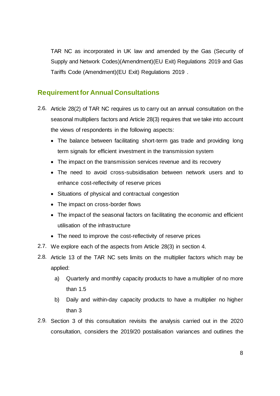TAR NC as incorporated in UK law and amended by the Gas (Security of Supply and Network Codes)(Amendment)(EU Exit) Regulations 2019 and Gas Tariffs Code (Amendment)(EU Exit) Regulations 2019 .

# <span id="page-7-0"></span>**Requirement for Annual Consultations**

- <span id="page-7-2"></span>2.6. Article 28(2) of TAR NC requires us to carry out an annual consultation on the seasonal multipliers factors and Article 28(3) requires that we take into account the views of respondents in the following aspects:
	- The balance between facilitating short-term gas trade and providing long term signals for efficient investment in the transmission system
	- The impact on the transmission services revenue and its recovery
	- The need to avoid cross-subsidisation between network users and to enhance cost-reflectivity of reserve prices
	- Situations of physical and contractual congestion
	- The impact on cross-border flows
	- The impact of the seasonal factors on facilitating the economic and efficient utilisation of the infrastructure
	- The need to improve the cost-reflectivity of reserve prices
- 2.7. We explore each of the aspects from Article 28(3) in section [4.](#page-23-0)
- <span id="page-7-1"></span>2.8. Article 13 of the TAR NC sets limits on the multiplier factors which may be applied:
	- a) Quarterly and monthly capacity products to have a multiplier of no more than 1.5
	- b) Daily and within-day capacity products to have a multiplier no higher than 3
- 2.9. Section [3](#page-10-0) of this consultation revisits the analysis carried out in the 2020 consultation, considers the 2019/20 postalisation variances and outlines the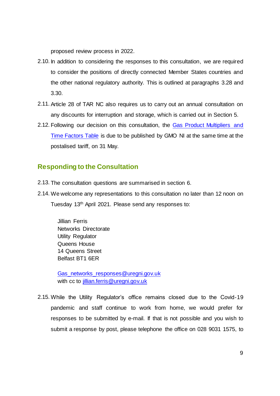proposed review process in 2022.

- 2.10. In addition to considering the responses to this consultation, we are required to consider the positions of directly connected Member States countries and the other national regulatory authority. This is outlined at paragraphs [3.28](#page-15-2) and [3.30.](#page-16-0)
- 2.11. Article 28 of TAR NC also requires us to carry out an annual consultation on any discounts for interruption and storage, which is carried out in Section [5.](#page-28-0)
- 2.12. Following our decision on this consultation, the [Gas Product Multipliers and](http://gmo-ni.com/tariffs#gas-product-multipliers)  [Time Factors Table](http://gmo-ni.com/tariffs#gas-product-multipliers) is due to be published by GMO NI at the same time at the postalised tariff, on 31 May.

# <span id="page-8-0"></span>**Responding to the Consultation**

- 2.13. The consultation questions are summarised in section [6.](#page-30-0)
- 2.14. We welcome any representations to this consultation no later than 12 noon on Tuesday 13th April 2021. Please send any responses to:

Jillian Ferris Networks Directorate Utility Regulator Queens House 14 Queens Street Belfast BT1 6ER

[Gas\\_networks\\_responses@uregni.gov.uk](mailto:Gas_networks_responses@uregni.gov.uk) with cc to [jillian.ferris@uregni.gov.uk](mailto:jillian.ferris@uregni.gov.uk)

2.15. While the Utility Regulator's office remains closed due to the Covid-19 pandemic and staff continue to work from home, we would prefer for responses to be submitted by e-mail. If that is not possible and you wish to submit a response by post, please telephone the office on 028 9031 1575, to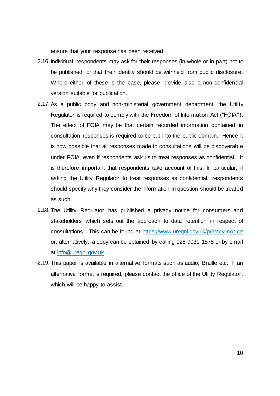ensure that your response has been received.

- 2.16. Individual respondents may ask for their responses (in whole or in part) not to be published, or that their identity should be withheld from public disclosure. Where either of these is the case, please provide also a non-confidential version suitable for publication.
- 2.17. As a public body and non-ministerial government department, the Utility Regulator is required to comply with the Freedom of Information Act ("FOIA**"**). The effect of FOIA may be that certain recorded information contained in consultation responses is required to be put into the public domain. Hence it is now possible that all responses made to consultations will be discoverable under FOIA, even if respondents ask us to treat responses as confidential. It is therefore important that respondents take account of this. In particular, if asking the Utility Regulator to treat responses as confidential, respondents should specify why they consider the information in question should be treated as such.
- 2.18. The Utility Regulator has published a privacy notice for consumers and stakeholders which sets out the approach to data retention in respect of consultations. This can be found at<https://www.uregni.gov.uk/privacy-notice> or, alternatively, a copy can be obtained by calling 028 9031 1575 or by email at [info@uregni.gov.uk.](mailto:info@uregni.gov.uk)
- 2.19. This paper is available in alternative formats such as audio, Braille etc. If an alternative format is required, please contact the office of the Utility Regulator, which will be happy to assist.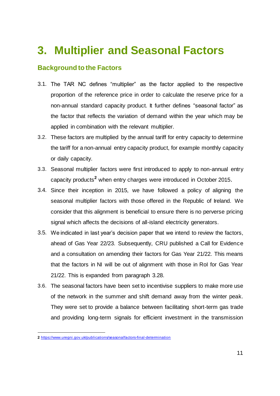# <span id="page-10-0"></span>**3. Multiplier and Seasonal Factors**

# <span id="page-10-1"></span>**Background to the Factors**

- 3.1. The TAR NC defines "multiplier" as the factor applied to the respective proportion of the reference price in order to calculate the reserve price for a non-annual standard capacity product. It further defines "seasonal factor" as the factor that reflects the variation of demand within the year which may be applied in combination with the relevant multiplier.
- 3.2. These factors are multiplied by the annual tariff for entry capacity to determine the tariff for a non-annual entry capacity product, for example monthly capacity or daily capacity.
- 3.3. Seasonal multiplier factors were first introduced to apply to non-annual entry capacity products**<sup>2</sup>** when entry charges were introduced in October 2015.
- 3.4. Since their inception in 2015, we have followed a policy of aligning the seasonal multiplier factors with those offered in the Republic of Ireland. We consider that this alignment is beneficial to ensure there is no perverse pricing signal which affects the decisions of all-island electricity generators.
- 3.5. We indicated in last year's decision paper that we intend to review the factors, ahead of Gas Year 22/23. Subsequently, CRU published a Call for Evidence and a consultation on amending their factors for Gas Year 21/22. This means that the factors in NI will be out of alignment with those in RoI for Gas Year 21/22. This is expanded from paragraph [3.28.](#page-15-2)
- 3.6. The seasonal factors have been set to incentivise suppliers to make more use of the network in the summer and shift demand away from the winter peak. They were set to provide a balance between facilitating short-term gas trade and providing long-term signals for efficient investment in the transmission

-

**<sup>2</sup>** [https://www.uregni.gov.uk/publications/seasonalfactors-final-determinati](https://www.uregni.gov.uk/publications/seasonalfactors-final-determination)on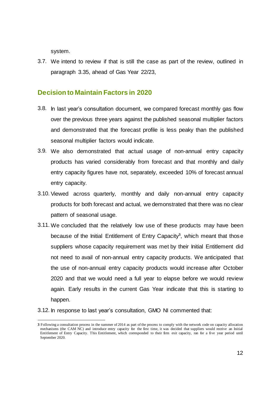system.

3.7. We intend to review if that is still the case as part of the review, outlined in paragraph [3.35,](#page-17-1) ahead of Gas Year 22/23,

### <span id="page-11-0"></span>**Decision to Maintain Factors in 2020**

- 3.8. In last year's consultation document, we compared forecast monthly gas flow over the previous three years against the published seasonal multiplier factors and demonstrated that the forecast profile is less peaky than the published seasonal multiplier factors would indicate.
- 3.9. We also demonstrated that actual usage of non-annual entry capacity products has varied considerably from forecast and that monthly and daily entry capacity figures have not, separately, exceeded 10% of forecast annual entry capacity.
- 3.10. Viewed across quarterly, monthly and daily non-annual entry capacity products for both forecast and actual, we demonstrated that there was no clear pattern of seasonal usage.
- <span id="page-11-1"></span>3.11. We concluded that the relatively low use of these products may have been because of the Initial Entitlement of Entry Capacity**<sup>3</sup>** , which meant that those suppliers whose capacity requirement was met by their Initial Entitlement did not need to avail of non-annual entry capacity products. We anticipated that the use of non-annual entry capacity products would increase after October 2020 and that we would need a full year to elapse before we would review again. Early results in the current Gas Year indicate that this is starting to happen.
- 3.12. In response to last year's consultation, GMO NI commented that:

<sup>1</sup> **3** Following a consultation process in the summer of 2014 as part of the process to comply with the network code on capacity allocation mechanisms (the CAM NC) and introduce entry capacity for the first time, it was decided that suppliers would receive an Initial Entitlement of Entry Capacity. This Entitlement, which corresponded to their firm exit capacity, ran for a five year period until September 2020.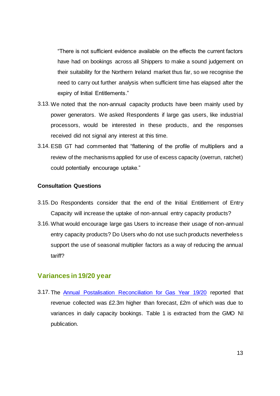"There is not sufficient evidence available on the effects the current factors have had on bookings across all Shippers to make a sound judgement on their suitability for the Northern Ireland market thus far, so we recognise the need to carry out further analysis when sufficient time has elapsed after the expiry of Initial Entitlements."

- 3.13. We noted that the non-annual capacity products have been mainly used by power generators. We asked Respondents if large gas users, like industrial processors, would be interested in these products, and the responses received did not signal any interest at this time.
- 3.14. ESB GT had commented that "flattening of the profile of multipliers and a review of the mechanisms applied for use of excess capacity (overrun, ratchet) could potentially encourage uptake."

#### **Consultation Questions**

- <span id="page-12-1"></span>3.15. Do Respondents consider that the end of the Initial Entitlement of Entry Capacity will increase the uptake of non-annual entry capacity products?
- <span id="page-12-2"></span>3.16. What would encourage large gas Users to increase their usage of non-annual entry capacity products? Do Users who do not use such products nevertheless support the use of seasonal multiplier factors as a way of reducing the annual tariff?

#### <span id="page-12-0"></span>**Variances in 19/20 year**

3.17. The [Annual Postalisation Reconciliation for Gas Year 19/20](http://gmo-ni.com/tariffs#annual-reconciliations) reported that revenue collected was £2.3m higher than forecast, £2m of which was due to variances in daily capacity bookings. [Table 1](#page-13-0) is extracted from the GMO NI publication.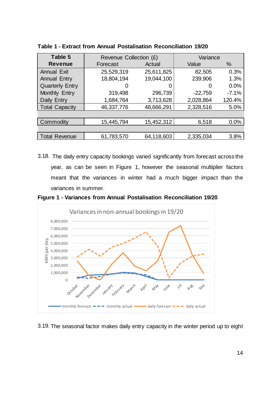| Table 5                | Revenue Collection (£) |            | Variance  |         |
|------------------------|------------------------|------------|-----------|---------|
| <b>Revenue</b>         | Forecast               | Actual     | Value     | $\%$    |
| <b>Annual Exit</b>     | 25,529,319             | 25,611,825 | 82,505    | 0.3%    |
| <b>Annual Entry</b>    | 18,804,194             | 19,044,100 | 239,906   | 1.3%    |
| <b>Quarterly Entry</b> | O                      | 0          | 0         | 0.0%    |
| Monthly Entry          | 319,498                | 296,739    | $-22,759$ | $-7.1%$ |
| Daily Entry            | 1,684,764              | 3,713,628  | 2,028,864 | 120.4%  |
| <b>Total Capacity</b>  | 46,337,776             | 48,666,291 | 2,328,516 | 5.0%    |
|                        |                        |            |           |         |
| Commodity              | 15,445,794             | 15,452,312 | 6,518     | 0.0%    |
|                        |                        |            |           |         |
| <b>Total Revenue</b>   | 61,783,570             | 64,118,603 | 2,335,034 | 3.8%    |

<span id="page-13-0"></span>**Table 1 - Extract from Annual Postalisation Reconciliation 19/20**

3.18. The daily entry capacity bookings varied significantly from forecast across the year, as can be seen in [Figure 1,](#page-13-1) however the seasonal multiplier factors meant that the variances in winter had a much bigger impact than the variances in summer.

<span id="page-13-1"></span>**Figure 1 - Variances from Annual Postalisation Reconciliation 19/20**



3.19. The seasonal factor makes daily entry capacity in the winter period up to eight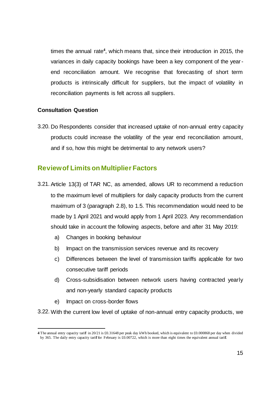times the annual rate**<sup>4</sup>** , which means that, since their introduction in 2015, the variances in daily capacity bookings have been a key component of the yearend reconciliation amount. We recognise that forecasting of short term products is intrinsically difficult for suppliers, but the impact of volatility in reconciliation payments is felt across all suppliers.

#### **Consultation Question**

<span id="page-14-1"></span>3.20. Do Respondents consider that increased uptake of non-annual entry capacity products could increase the volatility of the year end reconciliation amount, and if so, how this might be detrimental to any network users?

# <span id="page-14-0"></span>**Review of Limits on Multiplier Factors**

- 3.21. Article 13(3) of TAR NC, as amended, allows UR to recommend a reduction to the maximum level of multipliers for daily capacity products from the current maximum of 3 (paragraph [2.8\)](#page-7-1), to 1.5. This recommendation would need to be made by 1 April 2021 and would apply from 1 April 2023. Any recommendation should take in account the following aspects, before and after 31 May 2019:
	- a) Changes in booking behaviour
	- b) Impact on the transmission services revenue and its recovery
	- c) Differences between the level of transmission tariffs applicable for two consecutive tariff periods
	- d) Cross-subsidisation between network users having contracted yearly and non-yearly standard capacity products
	- e) Impact on cross-border flows

3.22. With the current low level of uptake of non-annual entry capacity products, we

<sup>1</sup> **4** The annual entry capacity tariff in 20/21 is £0.31648 per peak day kWh booked, which is equivalent to £0.000868 per day when divided by 365. The daily entry capacity tariff for February is £0.00722, which is more than eight times the equivalent annual tariff.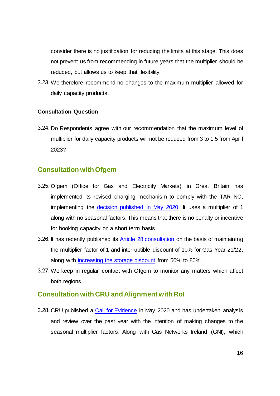consider there is no justification for reducing the limits at this stage. This does not prevent us from recommending in future years that the multiplier should be reduced, but allows us to keep that flexibility.

3.23. We therefore recommend no changes to the maximum multiplier allowed for daily capacity products.

#### **Consultation Question**

<span id="page-15-3"></span>3.24. Do Respondents agree with our recommendation that the maximum level of multiplier for daily capacity products will not be reduced from 3 to 1.5 from April 2023?

### <span id="page-15-0"></span>**Consultation with Ofgem**

- 3.25. Ofgem (Office for Gas and Electricity Markets) in Great Britain has implemented its revised charging mechanism to comply with the TAR NC, implementing the [decision published in May 2020.](https://www.ofgem.gov.uk/publications-and-updates/amendments-gas-transmission-charging-regime-decision-and-final-impact-assessment-unc678abcdefghij) It uses a multiplier of 1 along with no seasonal factors. This means that there is no penalty or incentive for booking capacity on a short term basis.
- 3.26. It has recently published its [Article 28 consultation](https://eur02.safelinks.protection.outlook.com/?url=https%3A%2F%2Fwww.ofgem.gov.uk%2Fpublications-and-updates%2Farticle-282-tar-nc-consultation-non-uk-regulatory-authorities-all-directly-connected-countries-or-territories-utility-regulator-northern-ireland-and-relevant-stakeholders&data=04%7C01%7CThomas.Bourke%40ofgem.gov.uk%7C32b15e6c0e044228ed3a08d8dfebaf9d%7C185562ad39bc48408e40be6216340c52%7C0%7C0%7C637505550654374164%7CUnknown%7CTWFpbGZsb3d8eyJWIjoiMC4wLjAwMDAiLCJQIjoiV2luMzIiLCJBTiI6Ik1haWwiLCJXVCI6Mn0%3D%7C1000&sdata=5cYYoe%2FYkgP3ozgIExBHuaEUZoGZMWEmJzqwQcC1%2FXQ%3D&reserved=0) on the basis of maintaining the multiplier factor of 1 and interruptible discount of 10% for Gas Year 21/22, along with [increasing the storage discount](https://www.ofgem.gov.uk/publications-and-updates/unc727-increasing-storage-transmission-capacity-charge-discount-80-decision) from 50% to 80%.
- 3.27. We keep in regular contact with Ofgem to monitor any matters which affect both regions.

#### <span id="page-15-1"></span>**Consultation with CRU and Alignment with RoI**

<span id="page-15-2"></span>3.28. CRU published a [Call for Evidence](https://www.cru.ie/wp-content/uploads/2020/05/CRU20057-Tariff-Network-Code-Article-28-Call-for-Evidence-Gas-Year-202021.pdf) in May 2020 and has undertaken analysis and review over the past year with the intention of making changes to the seasonal multiplier factors. Along with Gas Networks Ireland (GNI), which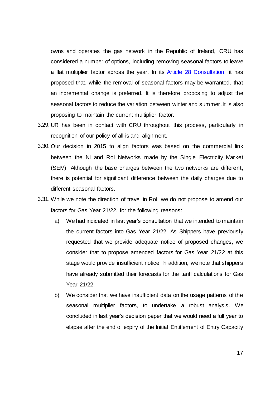owns and operates the gas network in the Republic of Ireland, CRU has considered a number of options, including removing seasonal factors to leave a flat multiplier factor across the year. In its [Article 28 Consultation,](https://www.cru.ie/document_group/copy-of-gas-networks-ireland-allowed-revenues-and-gas-transmission-tariffs/) it has proposed that, while the removal of seasonal factors may be warranted, that an incremental change is preferred. It is therefore proposing to adjust the seasonal factors to reduce the variation between winter and summer. It is also proposing to maintain the current multiplier factor.

- 3.29. UR has been in contact with CRU throughout this process, particularly in recognition of our policy of all-island alignment.
- <span id="page-16-0"></span>3.30. Our decision in 2015 to align factors was based on the commercial link between the NI and RoI Networks made by the Single Electricity Market (SEM). Although the base charges between the two networks are different, there is potential for significant difference between the daily charges due to different seasonal factors.
- 3.31. While we note the direction of travel in RoI, we do not propose to amend our factors for Gas Year 21/22, for the following reasons:
	- a) We had indicated in last year's consultation that we intended to maintain the current factors into Gas Year 21/22. As Shippers have previously requested that we provide adequate notice of proposed changes, we consider that to propose amended factors for Gas Year 21/22 at this stage would provide insufficient notice. In addition, we note that shippers have already submitted their forecasts for the tariff calculations for Gas Year 21/22.
	- b) We consider that we have insufficient data on the usage patterns of the seasonal multiplier factors, to undertake a robust analysis. We concluded in last year's decision paper that we would need a full year to elapse after the end of expiry of the Initial Entitlement of Entry Capacity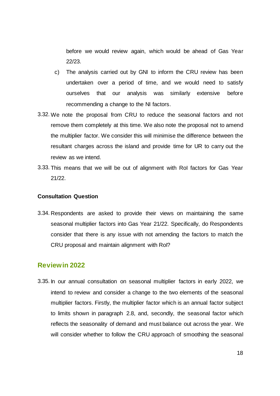before we would review again, which would be ahead of Gas Year 22/23.

- c) The analysis carried out by GNI to inform the CRU review has been undertaken over a period of time, and we would need to satisfy ourselves that our analysis was similarly extensive before recommending a change to the NI factors.
- 3.32. We note the proposal from CRU to reduce the seasonal factors and not remove them completely at this time. We also note the proposal not to amend the multiplier factor. We consider this will minimise the difference between the resultant charges across the island and provide time for UR to carry out the review as we intend.
- 3.33. This means that we will be out of alignment with RoI factors for Gas Year 21/22.

#### **Consultation Question**

<span id="page-17-2"></span>3.34. Respondents are asked to provide their views on maintaining the same seasonal multiplier factors into Gas Year 21/22. Specifically, do Respondents consider that there is any issue with not amending the factors to match the CRU proposal and maintain alignment with RoI?

### <span id="page-17-0"></span>**Review in 2022**

<span id="page-17-1"></span>3.35. In our annual consultation on seasonal multiplier factors in early 2022, we intend to review and consider a change to the two elements of the seasonal multiplier factors. Firstly, the multiplier factor which is an annual factor subject to limits shown in paragraph [2.8,](#page-7-1) and, secondly, the seasonal factor which reflects the seasonality of demand and must balance out across the year. We will consider whether to follow the CRU approach of smoothing the seasonal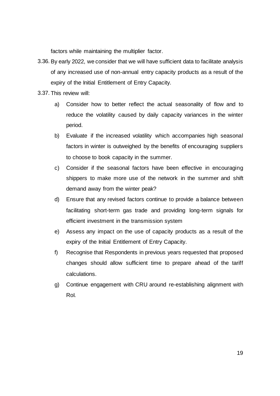factors while maintaining the multiplier factor.

- 3.36. By early 2022, we consider that we will have sufficient data to facilitate analysis of any increased use of non-annual entry capacity products as a result of the expiry of the Initial Entitlement of Entry Capacity.
- 3.37. This review will:
	- a) Consider how to better reflect the actual seasonality of flow and to reduce the volatility caused by daily capacity variances in the winter period.
	- b) Evaluate if the increased volatility which accompanies high seasonal factors in winter is outweighed by the benefits of encouraging suppliers to choose to book capacity in the summer.
	- c) Consider if the seasonal factors have been effective in encouraging shippers to make more use of the network in the summer and shift demand away from the winter peak?
	- d) Ensure that any revised factors continue to provide a balance between facilitating short-term gas trade and providing long-term signals for efficient investment in the transmission system
	- e) Assess any impact on the use of capacity products as a result of the expiry of the Initial Entitlement of Entry Capacity.
	- f) Recognise that Respondents in previous years requested that proposed changes should allow sufficient time to prepare ahead of the tariff calculations.
	- g) Continue engagement with CRU around re-establishing alignment with RoI.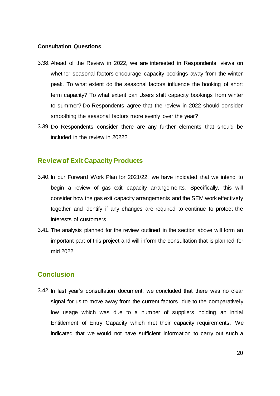#### **Consultation Questions**

- <span id="page-19-2"></span>3.38. Ahead of the Review in 2022, we are interested in Respondents' views on whether seasonal factors encourage capacity bookings away from the winter peak. To what extent do the seasonal factors influence the booking of short term capacity? To what extent can Users shift capacity bookings from winter to summer? Do Respondents agree that the review in 2022 should consider smoothing the seasonal factors more evenly over the year?
- <span id="page-19-3"></span>3.39. Do Respondents consider there are any further elements that should be included in the review in 2022?

### <span id="page-19-0"></span>**Reviewof Exit Capacity Products**

- 3.40. In our Forward Work Plan for 2021/22, we have indicated that we intend to begin a review of gas exit capacity arrangements. Specifically, this will consider how the gas exit capacity arrangements and the SEM work effectively together and identify if any changes are required to continue to protect the interests of customers.
- 3.41. The analysis planned for the review outlined in the section above will form an important part of this project and will inform the consultation that is planned for mid 2022.

### <span id="page-19-1"></span>**Conclusion**

3.42. In last year's consultation document, we concluded that there was no clear signal for us to move away from the current factors, due to the comparatively low usage which was due to a number of suppliers holding an Initial Entitlement of Entry Capacity which met their capacity requirements. We indicated that we would not have sufficient information to carry out such a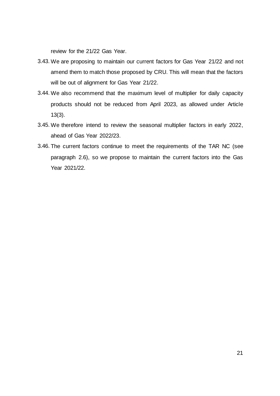review for the 21/22 Gas Year.

- 3.43. We are proposing to maintain our current factors for Gas Year 21/22 and not amend them to match those proposed by CRU. This will mean that the factors will be out of alignment for Gas Year 21/22.
- 3.44. We also recommend that the maximum level of multiplier for daily capacity products should not be reduced from April 2023, as allowed under Article 13(3).
- 3.45. We therefore intend to review the seasonal multiplier factors in early 2022, ahead of Gas Year 2022/23.
- 3.46. The current factors continue to meet the requirements of the TAR NC (see paragraph [2.6\)](#page-7-2), so we propose to maintain the current factors into the Gas Year 2021/22.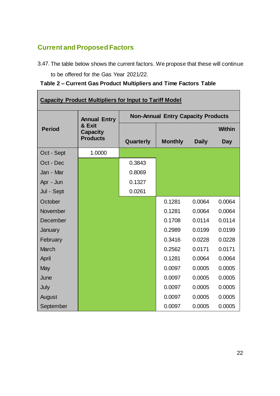# <span id="page-21-0"></span>**Current and Proposed Factors**

 $\blacksquare$ 

3.47. The table below shows the current factors. We propose that these will continue

to be offered for the Gas Year 2021/22.

**Table 2 – Current Gas Product Multipliers and Time Factors Table**

| <b>Capacity Product Multipliers for Input to Tariff Model</b> |                                                                     |                                           |                |              |               |
|---------------------------------------------------------------|---------------------------------------------------------------------|-------------------------------------------|----------------|--------------|---------------|
| <b>Period</b>                                                 | <b>Annual Entry</b><br>& Exit<br><b>Capacity</b><br><b>Products</b> | <b>Non-Annual Entry Capacity Products</b> |                |              |               |
|                                                               |                                                                     |                                           |                |              | <b>Within</b> |
|                                                               |                                                                     | Quarterly                                 | <b>Monthly</b> | <b>Daily</b> | <b>Day</b>    |
| Oct - Sept                                                    | 1.0000                                                              |                                           |                |              |               |
| Oct - Dec                                                     |                                                                     | 0.3843                                    |                |              |               |
| Jan - Mar                                                     |                                                                     | 0.8069                                    |                |              |               |
| Apr - Jun                                                     |                                                                     | 0.1327                                    |                |              |               |
| Jul - Sept                                                    |                                                                     | 0.0261                                    |                |              |               |
| October                                                       |                                                                     |                                           | 0.1281         | 0.0064       | 0.0064        |
| November                                                      |                                                                     |                                           | 0.1281         | 0.0064       | 0.0064        |
| December                                                      |                                                                     |                                           | 0.1708         | 0.0114       | 0.0114        |
| January                                                       |                                                                     |                                           | 0.2989         | 0.0199       | 0.0199        |
| February                                                      |                                                                     |                                           | 0.3416         | 0.0228       | 0.0228        |
| <b>March</b>                                                  |                                                                     |                                           | 0.2562         | 0.0171       | 0.0171        |
| April                                                         |                                                                     |                                           | 0.1281         | 0.0064       | 0.0064        |
| May                                                           |                                                                     |                                           | 0.0097         | 0.0005       | 0.0005        |
| June                                                          |                                                                     |                                           | 0.0097         | 0.0005       | 0.0005        |
| July                                                          |                                                                     |                                           | 0.0097         | 0.0005       | 0.0005        |
| August                                                        |                                                                     |                                           | 0.0097         | 0.0005       | 0.0005        |
| September                                                     |                                                                     |                                           | 0.0097         | 0.0005       | 0.0005        |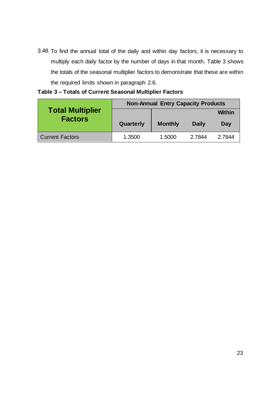3.48. To find the annual total of the daily and within day factors, it is necessary to multiply each daily factor by the number of days in that month. [Table 3](#page-22-0) shows the totals of the seasonal multiplier factors to demonstrate that these are within the required limits shown in paragraph [2.6.](#page-7-2)

|                         | <b>Non-Annual Entry Capacity Products</b> |                |              |               |
|-------------------------|-------------------------------------------|----------------|--------------|---------------|
| <b>Total Multiplier</b> |                                           |                |              | <b>Within</b> |
| <b>Factors</b>          | Quarterly                                 | <b>Monthly</b> | <b>Daily</b> | Day           |
|                         |                                           |                |              |               |

### <span id="page-22-0"></span>**Table 3 – Totals of Current Seasonal Multiplier Factors**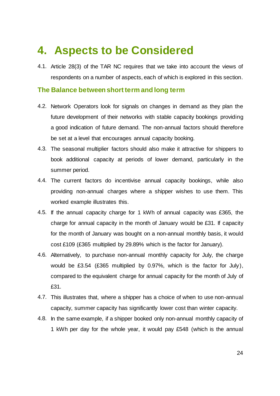# <span id="page-23-0"></span>**4. Aspects to be Considered**

4.1. Article 28(3) of the TAR NC requires that we take into account the views of respondents on a number of aspects, each of which is explored in this section.

#### <span id="page-23-1"></span>**The Balance between short term and long term**

- 4.2. Network Operators look for signals on changes in demand as they plan the future development of their networks with stable capacity bookings providing a good indication of future demand. The non-annual factors should therefore be set at a level that encourages annual capacity booking.
- 4.3. The seasonal multiplier factors should also make it attractive for shippers to book additional capacity at periods of lower demand, particularly in the summer period.
- 4.4. The current factors do incentivise annual capacity bookings, while also providing non-annual charges where a shipper wishes to use them. This worked example illustrates this.
- 4.5. If the annual capacity charge for 1 kWh of annual capacity was £365, the charge for annual capacity in the month of January would be £31. If capacity for the month of January was bought on a non-annual monthly basis, it would cost £109 (£365 multiplied by 29.89% which is the factor for January).
- 4.6. Alternatively, to purchase non-annual monthly capacity for July, the charge would be £3.54 (£365 multiplied by 0.97%, which is the factor for July), compared to the equivalent charge for annual capacity for the month of July of £31.
- 4.7. This illustrates that, where a shipper has a choice of when to use non-annual capacity, summer capacity has significantly lower cost than winter capacity.
- 4.8. In the same example, if a shipper booked only non-annual monthly capacity of 1 kWh per day for the whole year, it would pay £548 (which is the annual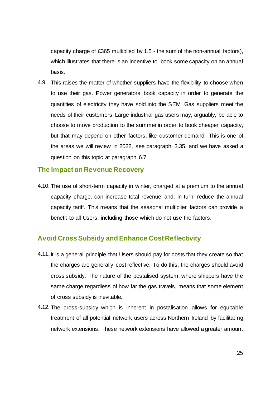capacity charge of £365 multiplied by 1.5 - the sum of the non-annual factors), which illustrates that there is an incentive to book some capacity on an annual basis.

4.9. This raises the matter of whether suppliers have the flexibility to choose when to use their gas. Power generators book capacity in order to generate the quantities of electricity they have sold into the SEM. Gas suppliers meet the needs of their customers. Large industrial gas users may, arguably, be able to choose to move production to the summer in order to book cheaper capacity, but that may depend on other factors, like customer demand. This is one of the areas we will review in 2022, see paragraph [3.35,](#page-17-1) and we have asked a question on this topic at paragraph [6.7.](#page-30-1)

#### <span id="page-24-0"></span>**The Impact on Revenue Recovery**

4.10. The use of short-term capacity in winter, charged at a premium to the annual capacity charge, can increase total revenue and, in turn, reduce the annual capacity tariff. This means that the seasonal multiplier factors can provide a benefit to all Users, including those which do not use the factors.

# <span id="page-24-1"></span>**Avoid Cross Subsidy and Enhance Cost Reflectivity**

- 4.11. It is a general principle that Users should pay for costs that they create so that the charges are generally cost reflective. To do this, the charges should avoid cross subsidy. The nature of the postalised system, where shippers have the same charge regardless of how far the gas travels, means that some element of cross subsidy is inevitable.
- 4.12. The cross-subsidy which is inherent in postalisation allows for equitable treatment of all potential network users across Northern Ireland by facilitating network extensions. These network extensions have allowed a greater amount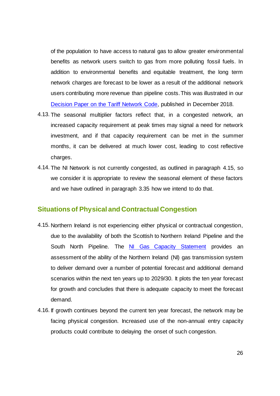of the population to have access to natural gas to allow greater environmental benefits as network users switch to gas from more polluting fossil fuels. In addition to environmental benefits and equitable treatment, the long term network charges are forecast to be lower as a result of the additional network users contributing more revenue than pipeline costs. This was illustrated in our [Decision Paper on the Tariff Network Code,](https://www.uregni.gov.uk/publications/decision-harmonised-transmission-tariffs-gas) published in December 2018.

- 4.13. The seasonal multiplier factors reflect that, in a congested network, an increased capacity requirement at peak times may signal a need for network investment, and if that capacity requirement can be met in the summer months, it can be delivered at much lower cost, leading to cost reflective charges.
- 4.14. The NI Network is not currently congested, as outlined in paragraph [4.15,](#page-25-1) so we consider it is appropriate to review the seasonal element of these factors and we have outlined in paragraph [3.35](#page-17-1) how we intend to do that.

### <span id="page-25-0"></span>**Situations of Physical and Contractual Congestion**

- <span id="page-25-1"></span>4.15. Northern Ireland is not experiencing either physical or contractual congestion, due to the availability of both the Scottish to Northern Ireland Pipeline and the South North Pipeline. The [NI Gas Capacity Statement](http://gmo-ni.com/publications#gas-statement) provides an assessment of the ability of the Northern Ireland (NI) gas transmission system to deliver demand over a number of potential forecast and additional demand scenarios within the next ten years up to 2029/30. It plots the ten year forecast for growth and concludes that there is adequate capacity to meet the forecast demand.
- 4.16. If growth continues beyond the current ten year forecast, the network may be facing physical congestion. Increased use of the non-annual entry capacity products could contribute to delaying the onset of such congestion.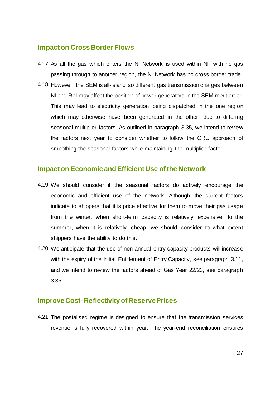### <span id="page-26-0"></span>**Impact on Cross Border Flows**

- 4.17. As all the gas which enters the NI Network is used within NI, with no gas passing through to another region, the NI Network has no cross border trade.
- 4.18. However, the SEM is all-island so different gas transmission charges between NI and RoI may affect the position of power generators in the SEM merit order. This may lead to electricity generation being dispatched in the one region which may otherwise have been generated in the other, due to differing seasonal multiplier factors. As outlined in paragraph [3.35,](#page-17-1) we intend to review the factors next year to consider whether to follow the CRU approach of smoothing the seasonal factors while maintaining the multiplier factor.

### <span id="page-26-1"></span>**Impact on Economic and Efficient Use of the Network**

- 4.19. We should consider if the seasonal factors do actively encourage the economic and efficient use of the network. Although the current factors indicate to shippers that it is price effective for them to move their gas usage from the winter, when short-term capacity is relatively expensive, to the summer, when it is relatively cheap, we should consider to what extent shippers have the ability to do this.
- 4.20. We anticipate that the use of non-annual entry capacity products will increase with the expiry of the Initial Entitlement of Entry Capacity, see paragraph [3.11,](#page-11-1) and we intend to review the factors ahead of Gas Year 22/23, see paragraph [3.35.](#page-17-1)

# <span id="page-26-2"></span>**Improve Cost- Reflectivity of Reserve Prices**

4.21. The postalised regime is designed to ensure that the transmission services revenue is fully recovered within year. The year-end reconciliation ensures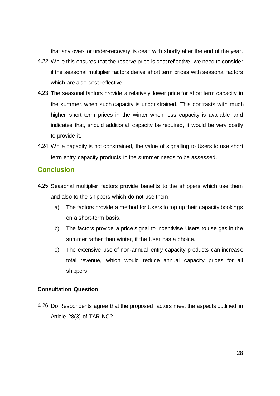that any over- or under-recovery is dealt with shortly after the end of the year.

- 4.22. While this ensures that the reserve price is cost reflective, we need to consider if the seasonal multiplier factors derive short term prices with seasonal factors which are also cost reflective.
- 4.23. The seasonal factors provide a relatively lower price for short term capacity in the summer, when such capacity is unconstrained. This contrasts with much higher short term prices in the winter when less capacity is available and indicates that, should additional capacity be required, it would be very costly to provide it.
- 4.24. While capacity is not constrained, the value of signalling to Users to use short term entry capacity products in the summer needs to be assessed.

# <span id="page-27-0"></span>**Conclusion**

- 4.25. Seasonal multiplier factors provide benefits to the shippers which use them and also to the shippers which do not use them.
	- a) The factors provide a method for Users to top up their capacity bookings on a short-term basis.
	- b) The factors provide a price signal to incentivise Users to use gas in the summer rather than winter, if the User has a choice.
	- c) The extensive use of non-annual entry capacity products can increase total revenue, which would reduce annual capacity prices for all shippers.

#### **Consultation Question**

<span id="page-27-1"></span>4.26. Do Respondents agree that the proposed factors meet the aspects outlined in Article 28(3) of TAR NC?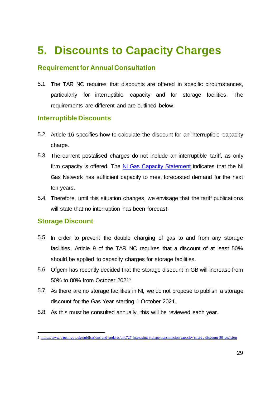# <span id="page-28-0"></span>**5. Discounts to Capacity Charges**

# <span id="page-28-1"></span>**Requirement for Annual Consultation**

5.1. The TAR NC requires that discounts are offered in specific circumstances, particularly for interruptible capacity and for storage facilities. The requirements are different and are outlined below.

# <span id="page-28-2"></span>**Interruptible Discounts**

- 5.2. Article 16 specifies how to calculate the discount for an interruptible capacity charge.
- 5.3. The current postalised charges do not include an interruptible tariff, as only firm capacity is offered. The [NI Gas Capacity Statement](http://gmo-ni.com/publications#gas-statement) indicates that the NI Gas Network has sufficient capacity to meet forecasted demand for the next ten years.
- 5.4. Therefore, until this situation changes, we envisage that the tariff publications will state that no interruption has been forecast.

# <span id="page-28-3"></span>**Storage Discount**

-

- 5.5. In order to prevent the double charging of gas to and from any storage facilities, Article 9 of the TAR NC requires that a discount of at least 50% should be applied to capacity charges for storage facilities.
- 5.6. Ofgem has recently decided that the storage discount in GB will increase from 50% to 80% from October 2021**<sup>5</sup>** .
- 5.7. As there are no storage facilities in NI, we do not propose to publish a storage discount for the Gas Year starting 1 October 2021.
- 5.8. As this must be consulted annually, this will be reviewed each year.

**<sup>5</sup>** <https://www.ofgem.gov.uk/publications-and-updates/unc727-increasing-storage-transmission-capacity-charge-discount-80-decision>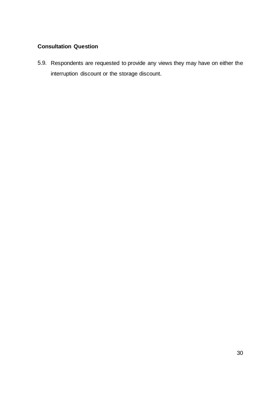# **Consultation Question**

<span id="page-29-0"></span>5.9. Respondents are requested to provide any views they may have on either the interruption discount or the storage discount.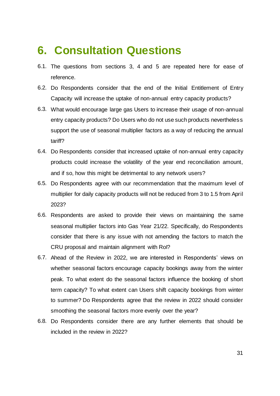# <span id="page-30-0"></span>**6. Consultation Questions**

- 6.1. The questions from sections 3, 4 and 5 are repeated here for ease of reference.
- 6.2. [Do Respondents consider that the end of the Initial Entitlement of Entry](#page-12-1)  [Capacity will increase the uptake of non-annual entry capacity products?](#page-12-1)
- 6.3. [What would encourage large gas Users to increase their usage of non-annual](#page-12-2)  [entry capacity products? Do Users who do not use such products nevertheless](#page-12-2)  [support the use of seasonal multiplier factors as a way of reducing the annual](#page-12-2)  [tariff?](#page-12-2)
- 6.4. [Do Respondents consider that increased uptake of non-annual entry capacity](#page-14-1)  [products could increase the volatility of the year end reconciliation amount,](#page-14-1)  [and if so, how this might be detrimental to any network users?](#page-14-1)
- 6.5. [Do Respondents agree with our recommendation that the maximum level of](#page-15-3)  [multiplier for daily capacity products will not be reduced from 3 to 1.5 from April](#page-15-3)  [2023?](#page-15-3)
- 6.6. [Respondents are asked to provide their views on maintaining the same](#page-17-2)  [seasonal multiplier factors into Gas Year 21/22. Specifically, do Respondents](#page-17-2)  [consider that there is any issue with not amending the factors to match the](#page-17-2)  [CRU proposal and maintain alignment with RoI?](#page-17-2)
- <span id="page-30-1"></span>6.7. [Ahead of the Review in 2022, we are interested in Respondents' views on](#page-19-2)  [whether seasonal factors encourage capacity bookings away from the winter](#page-19-2)  [peak. To what extent do the seasonal factors influence the booking of short](#page-19-2)  [term capacity? To what extent can Users shift capacity bookings from winter](#page-19-2)  [to summer? Do Respondents agree that the review in 2022 should consider](#page-19-2)  [smoothing the seasonal factors more evenly over the year?](#page-19-2)
- 6.8. [Do Respondents consider there are any further elements that should be](#page-19-3)  [included in the review in 2022?](#page-19-3)